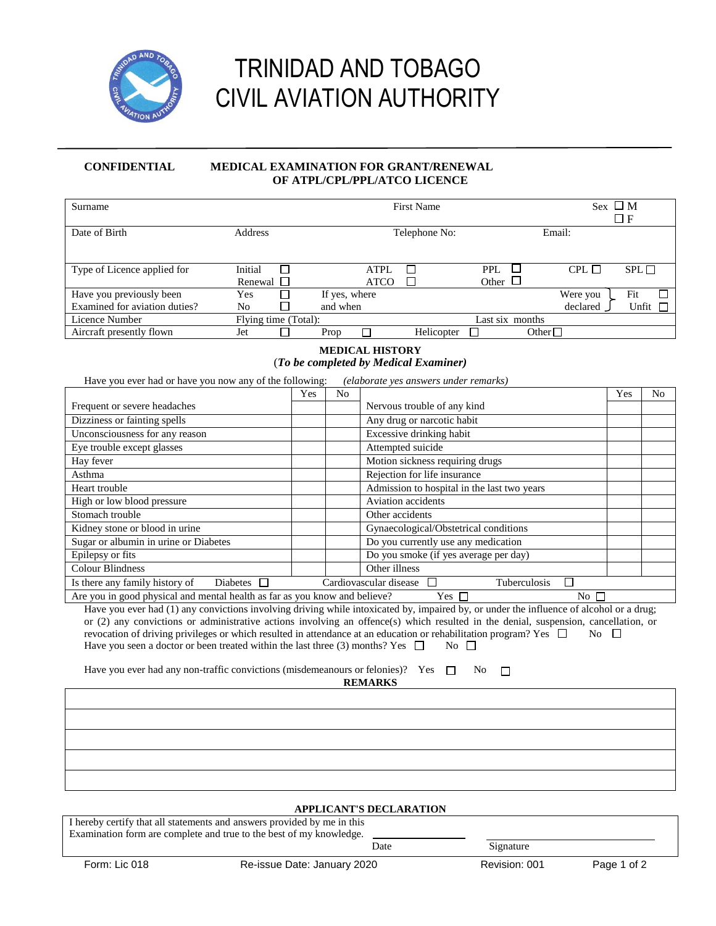

# TRINIDAD AND TOBAGO CIVIL AVIATION AUTHORITY

### **CONFIDENTIAL MEDICAL EXAMINATION FOR GRANT/RENEWAL OF ATPL/CPL/PPL/ATCO LICENCE**

| Surname                                                                                                                                 |                                  |     |                |                        | <b>First Name</b>                     |                                             |                 | Sex $\Box$ M<br>$\Box$ F |                |
|-----------------------------------------------------------------------------------------------------------------------------------------|----------------------------------|-----|----------------|------------------------|---------------------------------------|---------------------------------------------|-----------------|--------------------------|----------------|
| Date of Birth                                                                                                                           | Address                          |     |                |                        | Telephone No:                         |                                             | Email:          |                          |                |
|                                                                                                                                         |                                  |     |                |                        |                                       |                                             |                 |                          |                |
|                                                                                                                                         |                                  |     |                |                        |                                       |                                             |                 |                          |                |
| Type of Licence applied for                                                                                                             | Initial<br>□                     |     |                | <b>ATPL</b>            | □                                     | PPI.<br>$\Box$                              | $CPL$ $\Box$    |                          | SPL            |
|                                                                                                                                         | Renewal<br>$\mathbf{1}$          |     |                | <b>ATCO</b>            | $\Box$                                | Other $\Box$                                |                 |                          |                |
| Have you previously been                                                                                                                | Yes<br>⊓                         |     | If yes, where  |                        |                                       |                                             | Were you        | Fit                      |                |
| Examined for aviation duties?<br><b>Licence Number</b>                                                                                  | П<br>No                          |     | and when       |                        |                                       |                                             | declared        |                          | Unfit $\Box$   |
| Aircraft presently flown                                                                                                                | Flying time (Total):<br>Jet<br>П |     | Prop           |                        | Helicopter                            | Last six months                             | Other $\square$ |                          |                |
|                                                                                                                                         |                                  |     |                |                        |                                       |                                             |                 |                          |                |
|                                                                                                                                         |                                  |     |                | <b>MEDICAL HISTORY</b> |                                       |                                             |                 |                          |                |
|                                                                                                                                         |                                  |     |                |                        | (To be completed by Medical Examiner) |                                             |                 |                          |                |
| Have you ever had or have you now any of the following:                                                                                 |                                  |     |                |                        | (elaborate yes answers under remarks) |                                             |                 |                          |                |
|                                                                                                                                         |                                  | Yes | N <sub>o</sub> |                        |                                       |                                             |                 | Yes                      | N <sub>o</sub> |
| Frequent or severe headaches                                                                                                            |                                  |     |                |                        | Nervous trouble of any kind           |                                             |                 |                          |                |
| Dizziness or fainting spells                                                                                                            |                                  |     |                |                        | Any drug or narcotic habit            |                                             |                 |                          |                |
| Unconsciousness for any reason                                                                                                          |                                  |     |                |                        | Excessive drinking habit              |                                             |                 |                          |                |
| Eye trouble except glasses                                                                                                              |                                  |     |                |                        | Attempted suicide                     |                                             |                 |                          |                |
| Hay fever                                                                                                                               |                                  |     |                |                        | Motion sickness requiring drugs       |                                             |                 |                          |                |
| Asthma                                                                                                                                  |                                  |     |                |                        | Rejection for life insurance          |                                             |                 |                          |                |
| Heart trouble                                                                                                                           |                                  |     |                |                        |                                       | Admission to hospital in the last two years |                 |                          |                |
| High or low blood pressure                                                                                                              |                                  |     |                |                        | Aviation accidents                    |                                             |                 |                          |                |
| Stomach trouble                                                                                                                         |                                  |     |                | Other accidents        |                                       |                                             |                 |                          |                |
| Kidney stone or blood in urine                                                                                                          |                                  |     |                |                        |                                       | Gynaecological/Obstetrical conditions       |                 |                          |                |
| Sugar or albumin in urine or Diabetes                                                                                                   |                                  |     |                |                        | Do you currently use any medication   |                                             |                 |                          |                |
| Epilepsy or fits                                                                                                                        |                                  |     |                |                        |                                       | Do you smoke (if yes average per day)       |                 |                          |                |
| <b>Colour Blindness</b>                                                                                                                 |                                  |     |                | Other illness          |                                       |                                             |                 |                          |                |
| Is there any family history of                                                                                                          | Diabetes $\square$               |     |                | Cardiovascular disease | □                                     | Tuberculosis                                | Г               |                          |                |
| Are you in good physical and mental health as far as you know and believe?                                                              |                                  |     |                |                        | Yes $\Box$                            |                                             | $No \ \square$  |                          |                |
| Have you ever had (1) any convictions involving driving while intoxicated by, impaired by, or under the influence of alcohol or a drug; |                                  |     |                |                        |                                       |                                             |                 |                          |                |
| or (2) any convictions or administrative actions involving an offence(s) which resulted in the denial, suspension, cancellation, or     |                                  |     |                |                        |                                       |                                             |                 |                          |                |
| revocation of driving privileges or which resulted in attendance at an education or rehabilitation program? Yes $\Box$<br>No.<br>$\Box$ |                                  |     |                |                        |                                       |                                             |                 |                          |                |
| Have you seen a doctor or been treated within the last three (3) months? Yes $\Box$<br>No $\Box$                                        |                                  |     |                |                        |                                       |                                             |                 |                          |                |
| Have you ever had any non-traffic convictions (misdemeanours or felonies)? Yes<br>П                                                     |                                  |     |                |                        |                                       |                                             |                 |                          |                |
| N <sub>0</sub><br>□<br><b>REMARKS</b>                                                                                                   |                                  |     |                |                        |                                       |                                             |                 |                          |                |
|                                                                                                                                         |                                  |     |                |                        |                                       |                                             |                 |                          |                |
|                                                                                                                                         |                                  |     |                |                        |                                       |                                             |                 |                          |                |
|                                                                                                                                         |                                  |     |                |                        |                                       |                                             |                 |                          |                |
|                                                                                                                                         |                                  |     |                |                        |                                       |                                             |                 |                          |                |
|                                                                                                                                         |                                  |     |                |                        |                                       |                                             |                 |                          |                |
|                                                                                                                                         |                                  |     |                |                        |                                       |                                             |                 |                          |                |

## Form: Lic 018 **Re-issue Date: January 2020** Revision: 001 Page 1 of 2 **APPLICANT'S DECLARATION** I hereby certify that all statements and answers provided by me in this Examination form are complete and true to the best of my knowledge. **Date** Signature